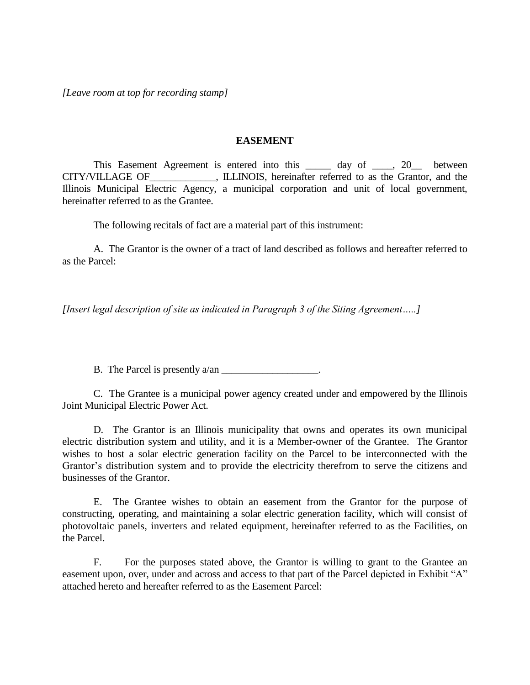*[Leave room at top for recording stamp]*

## **EASEMENT**

This Easement Agreement is entered into this \_\_\_\_\_\_ day of \_\_\_\_, 20\_\_\_ between CITY/VILLAGE OF FILLINOIS, hereinafter referred to as the Grantor, and the Illinois Municipal Electric Agency, a municipal corporation and unit of local government, hereinafter referred to as the Grantee.

The following recitals of fact are a material part of this instrument:

A. The Grantor is the owner of a tract of land described as follows and hereafter referred to as the Parcel:

*[Insert legal description of site as indicated in Paragraph 3 of the Siting Agreement…..]*

B. The Parcel is presently a/an \_\_\_\_\_\_\_\_\_\_\_\_\_\_\_\_\_.

C. The Grantee is a municipal power agency created under and empowered by the Illinois Joint Municipal Electric Power Act.

D. The Grantor is an Illinois municipality that owns and operates its own municipal electric distribution system and utility, and it is a Member-owner of the Grantee. The Grantor wishes to host a solar electric generation facility on the Parcel to be interconnected with the Grantor's distribution system and to provide the electricity therefrom to serve the citizens and businesses of the Grantor.

E. The Grantee wishes to obtain an easement from the Grantor for the purpose of constructing, operating, and maintaining a solar electric generation facility, which will consist of photovoltaic panels, inverters and related equipment, hereinafter referred to as the Facilities, on the Parcel.

F. For the purposes stated above, the Grantor is willing to grant to the Grantee an easement upon, over, under and across and access to that part of the Parcel depicted in Exhibit "A" attached hereto and hereafter referred to as the Easement Parcel: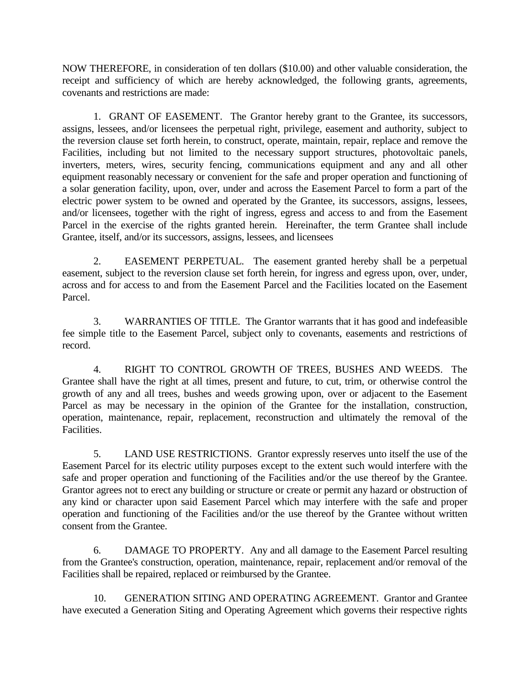NOW THEREFORE, in consideration of ten dollars (\$10.00) and other valuable consideration, the receipt and sufficiency of which are hereby acknowledged, the following grants, agreements, covenants and restrictions are made:

1. GRANT OF EASEMENT. The Grantor hereby grant to the Grantee, its successors, assigns, lessees, and/or licensees the perpetual right, privilege, easement and authority, subject to the reversion clause set forth herein, to construct, operate, maintain, repair, replace and remove the Facilities, including but not limited to the necessary support structures, photovoltaic panels, inverters, meters, wires, security fencing, communications equipment and any and all other equipment reasonably necessary or convenient for the safe and proper operation and functioning of a solar generation facility, upon, over, under and across the Easement Parcel to form a part of the electric power system to be owned and operated by the Grantee, its successors, assigns, lessees, and/or licensees, together with the right of ingress, egress and access to and from the Easement Parcel in the exercise of the rights granted herein. Hereinafter, the term Grantee shall include Grantee, itself, and/or its successors, assigns, lessees, and licensees

2. EASEMENT PERPETUAL. The easement granted hereby shall be a perpetual easement, subject to the reversion clause set forth herein, for ingress and egress upon, over, under, across and for access to and from the Easement Parcel and the Facilities located on the Easement Parcel.

3. WARRANTIES OF TITLE. The Grantor warrants that it has good and indefeasible fee simple title to the Easement Parcel, subject only to covenants, easements and restrictions of record.

4. RIGHT TO CONTROL GROWTH OF TREES, BUSHES AND WEEDS. The Grantee shall have the right at all times, present and future, to cut, trim, or otherwise control the growth of any and all trees, bushes and weeds growing upon, over or adjacent to the Easement Parcel as may be necessary in the opinion of the Grantee for the installation, construction, operation, maintenance, repair, replacement, reconstruction and ultimately the removal of the Facilities.

5. LAND USE RESTRICTIONS. Grantor expressly reserves unto itself the use of the Easement Parcel for its electric utility purposes except to the extent such would interfere with the safe and proper operation and functioning of the Facilities and/or the use thereof by the Grantee. Grantor agrees not to erect any building or structure or create or permit any hazard or obstruction of any kind or character upon said Easement Parcel which may interfere with the safe and proper operation and functioning of the Facilities and/or the use thereof by the Grantee without written consent from the Grantee.

6. DAMAGE TO PROPERTY. Any and all damage to the Easement Parcel resulting from the Grantee's construction, operation, maintenance, repair, replacement and/or removal of the Facilities shall be repaired, replaced or reimbursed by the Grantee.

10. GENERATION SITING AND OPERATING AGREEMENT. Grantor and Grantee have executed a Generation Siting and Operating Agreement which governs their respective rights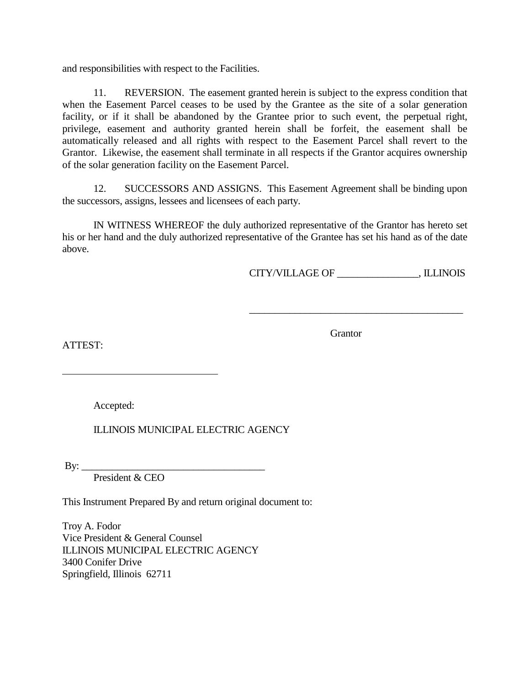and responsibilities with respect to the Facilities.

11. REVERSION. The easement granted herein is subject to the express condition that when the Easement Parcel ceases to be used by the Grantee as the site of a solar generation facility, or if it shall be abandoned by the Grantee prior to such event, the perpetual right, privilege, easement and authority granted herein shall be forfeit, the easement shall be automatically released and all rights with respect to the Easement Parcel shall revert to the Grantor. Likewise, the easement shall terminate in all respects if the Grantor acquires ownership of the solar generation facility on the Easement Parcel.

12. SUCCESSORS AND ASSIGNS. This Easement Agreement shall be binding upon the successors, assigns, lessees and licensees of each party.

IN WITNESS WHEREOF the duly authorized representative of the Grantor has hereto set his or her hand and the duly authorized representative of the Grantee has set his hand as of the date above.

CITY/VILLAGE OF \_\_\_\_\_\_\_\_\_\_\_\_\_\_\_\_, ILLINOIS

\_\_\_\_\_\_\_\_\_\_\_\_\_\_\_\_\_\_\_\_\_\_\_\_\_\_\_\_\_\_\_\_\_\_\_\_\_\_\_\_\_\_

Grantor

ATTEST:

Accepted:

ILLINOIS MUNICIPAL ELECTRIC AGENCY

 $\mathbf{By:}$ 

President & CEO

This Instrument Prepared By and return original document to:

Troy A. Fodor Vice President & General Counsel ILLINOIS MUNICIPAL ELECTRIC AGENCY 3400 Conifer Drive Springfield, Illinois 62711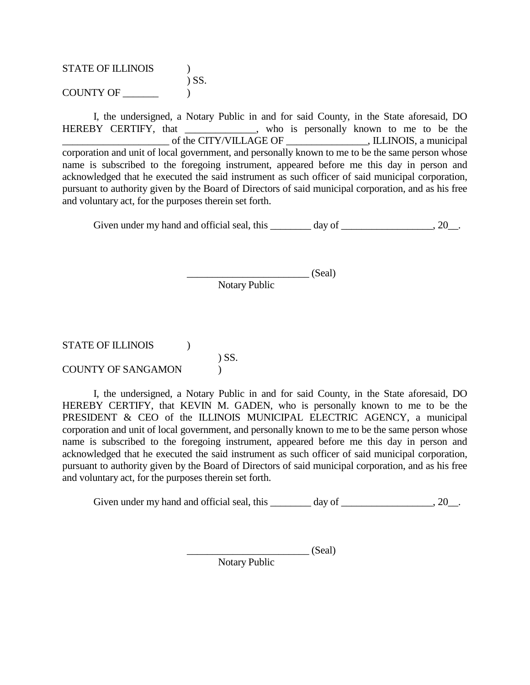| <b>STATE OF ILLINOIS</b> |            |
|--------------------------|------------|
|                          | $\sum$ SS. |
| <b>COUNTY OF</b>         |            |

I, the undersigned, a Notary Public in and for said County, in the State aforesaid, DO HEREBY CERTIFY, that \_\_\_\_\_\_\_\_\_\_\_\_, who is personally known to me to be the \_\_\_\_\_\_\_\_\_\_\_\_\_\_\_\_\_\_\_\_\_ of the CITY/VILLAGE OF \_\_\_\_\_\_\_\_\_\_\_\_\_\_\_\_, ILLINOIS, a municipal corporation and unit of local government, and personally known to me to be the same person whose name is subscribed to the foregoing instrument, appeared before me this day in person and acknowledged that he executed the said instrument as such officer of said municipal corporation, pursuant to authority given by the Board of Directors of said municipal corporation, and as his free and voluntary act, for the purposes therein set forth.

Given under my hand and official seal, this  $\qquad \qquad \text{day of} \qquad \qquad .20$ .

 $(Seal)$ Notary Public

## STATE OF ILLINOIS (1) ) SS. COUNTY OF SANGAMON )

I, the undersigned, a Notary Public in and for said County, in the State aforesaid, DO HEREBY CERTIFY, that KEVIN M. GADEN, who is personally known to me to be the PRESIDENT & CEO of the ILLINOIS MUNICIPAL ELECTRIC AGENCY, a municipal corporation and unit of local government, and personally known to me to be the same person whose name is subscribed to the foregoing instrument, appeared before me this day in person and acknowledged that he executed the said instrument as such officer of said municipal corporation, pursuant to authority given by the Board of Directors of said municipal corporation, and as his free and voluntary act, for the purposes therein set forth.

Given under my hand and official seal, this \_\_\_\_\_\_\_ day of \_\_\_\_\_\_\_\_\_\_\_\_\_\_\_\_\_, 20\_\_.

 $\qquad \qquad \qquad \text{(Seal)}$ 

Notary Public